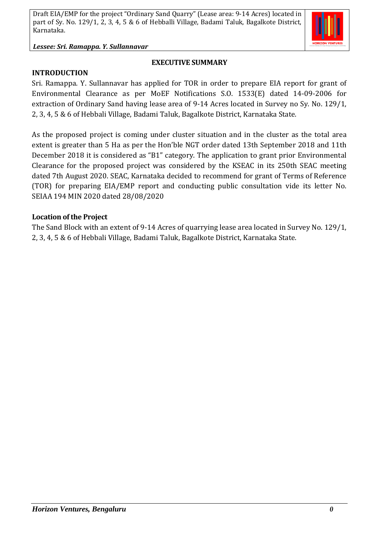#### *Lessee: Sri. Ramappa. Y. Sullannavar*

**INTRODUCTION**

#### **EXECUTIVE SUMMARY**

Sri. Ramappa. Y. Sullannavar has applied for TOR in order to prepare EIA report for grant of Environmental Clearance as per MoEF Notifications S.O. 1533(E) dated 14-09-2006 for extraction of Ordinary Sand having lease area of 9-14 Acres located in Survey no Sy. No. 129/1, 2, 3, 4, 5 & 6 of Hebbali Village, Badami Taluk, Bagalkote District, Karnataka State.

As the proposed project is coming under cluster situation and in the cluster as the total area extent is greater than 5 Ha as per the Hon'ble NGT order dated 13th September 2018 and 11th December 2018 it is considered as "B1" category. The application to grant prior Environmental Clearance for the proposed project was considered by the KSEAC in its 250th SEAC meeting dated 7th August 2020. SEAC, Karnataka decided to recommend for grant of Terms of Reference (TOR) for preparing EIA/EMP report and conducting public consultation vide its letter No. SEIAA 194 MIN 2020 dated 28/08/2020

#### **Location of the Project**

The Sand Block with an extent of 9-14 Acres of quarrying lease area located in Survey No. 129/1, 2, 3, 4, 5 & 6 of Hebbali Village, Badami Taluk, Bagalkote District, Karnataka State.

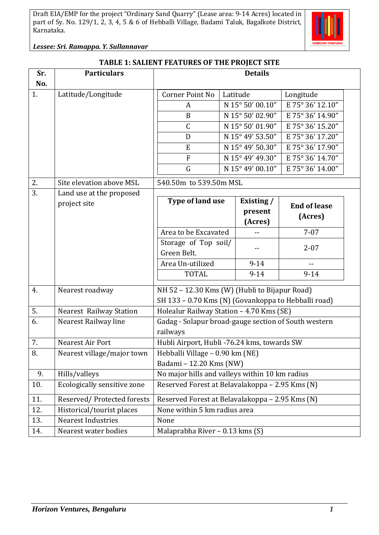

*Lessee: Sri. Ramappa. Y. Sullannavar*

### **TABLE 1: SALIENT FEATURES OF THE PROJECT SITE**

| Sr. | <b>Particulars</b>             | <b>Details</b>                                       |                                            |                  |                     |  |
|-----|--------------------------------|------------------------------------------------------|--------------------------------------------|------------------|---------------------|--|
| No. |                                |                                                      |                                            |                  |                     |  |
| 1.  | Latitude/Longitude             | Corner Point No                                      |                                            | Latitude         | Longitude           |  |
|     |                                | A                                                    | N 15° 50' 00.10"                           |                  | E 75° 36' 12.10"    |  |
|     |                                | B                                                    | N 15° 50' 02.90"                           |                  | E 75° 36' 14.90"    |  |
|     |                                | $\mathsf{C}$                                         | N 15° 50' 01.90"                           |                  | E 75° 36' 15.20"    |  |
|     |                                | D                                                    | N 15° 49' 53.50"                           |                  | E 75° 36' 17.20"    |  |
|     |                                | E                                                    |                                            | N 15° 49' 50.30" | E 75° 36' 17.90"    |  |
|     |                                | F                                                    |                                            | N 15° 49' 49.30" | E 75° 36' 14.70"    |  |
|     |                                | G                                                    | N 15° 49' 00.10"                           |                  | E 75° 36' 14.00"    |  |
| 2.  | Site elevation above MSL       | 540.50m to 539.50m MSL                               |                                            |                  |                     |  |
| 3.  | Land use at the proposed       |                                                      |                                            |                  |                     |  |
|     | project site                   | Type of land use                                     |                                            | Existing /       | <b>End of lease</b> |  |
|     |                                |                                                      | present<br>(Acres)<br>Area to be Excavated |                  | (Acres)             |  |
|     |                                |                                                      |                                            |                  |                     |  |
|     |                                |                                                      |                                            |                  | $7 - 07$            |  |
|     |                                | Storage of Top soil/<br>Green Belt.                  |                                            |                  | $2 - 07$            |  |
|     |                                | Area Un-utilized                                     |                                            | $9 - 14$         | $- -$               |  |
|     |                                | <b>TOTAL</b>                                         |                                            | $9 - 14$         | $9 - 14$            |  |
|     |                                |                                                      |                                            |                  |                     |  |
| 4.  | Nearest roadway                | NH 52 - 12.30 Kms (W) (Hubli to Bijapur Road)        |                                            |                  |                     |  |
|     |                                | SH 133 - 0.70 Kms (N) (Govankoppa to Hebballi road)  |                                            |                  |                     |  |
| 5.  | <b>Nearest Railway Station</b> | Holealur Railway Station - 4.70 Kms (SE)             |                                            |                  |                     |  |
| 6.  | Nearest Railway line           | Gadag - Solapur broad-gauge section of South western |                                            |                  |                     |  |
|     |                                | railways                                             |                                            |                  |                     |  |
| 7.  | Nearest Air Port               | Hubli Airport, Hubli -76.24 kms, towards SW          |                                            |                  |                     |  |
| 8.  | Nearest village/major town     | Hebballi Village - 0.90 km (NE)                      |                                            |                  |                     |  |
|     |                                | Badami - 12.20 Kms (NW)                              |                                            |                  |                     |  |
| 9.  | Hills/valleys                  | No major hills and valleys within 10 km radius       |                                            |                  |                     |  |
| 10. | Ecologically sensitive zone    | Reserved Forest at Belavalakoppa - 2.95 Kms (N)      |                                            |                  |                     |  |
| 11. | Reserved/Protected forests     | Reserved Forest at Belavalakoppa - 2.95 Kms (N)      |                                            |                  |                     |  |
| 12. | Historical/tourist places      | None within 5 km radius area                         |                                            |                  |                     |  |
| 13. | <b>Nearest Industries</b>      | None                                                 |                                            |                  |                     |  |
| 14. | Nearest water bodies           | Malaprabha River - 0.13 kms (S)                      |                                            |                  |                     |  |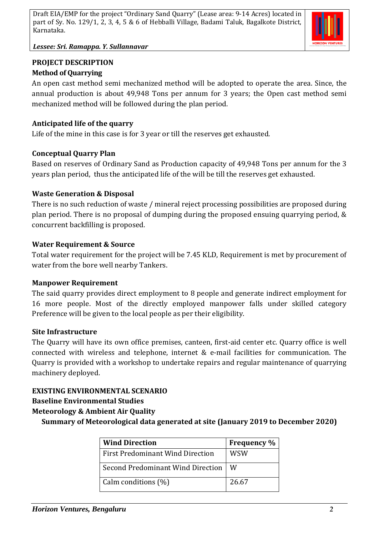

*Lessee: Sri. Ramappa. Y. Sullannavar*

## **PROJECT DESCRIPTION Method of Quarrying**

An open cast method semi mechanized method will be adopted to operate the area. Since, the annual production is about 49,948 Tons per annum for 3 years; the Open cast method semi mechanized method will be followed during the plan period.

## **Anticipated life of the quarry**

Life of the mine in this case is for 3 year or till the reserves get exhausted.

## **Conceptual Quarry Plan**

Based on reserves of Ordinary Sand as Production capacity of 49,948 Tons per annum for the 3 years plan period, thus the anticipated life of the will be till the reserves get exhausted.

## **Waste Generation & Disposal**

There is no such reduction of waste / mineral reject processing possibilities are proposed during plan period. There is no proposal of dumping during the proposed ensuing quarrying period, & concurrent backfilling is proposed.

### **Water Requirement & Source**

Total water requirement for the project will be 7.45 KLD, Requirement is met by procurement of water from the bore well nearby Tankers.

### **Manpower Requirement**

The said quarry provides direct employment to 8 people and generate indirect employment for 16 more people. Most of the directly employed manpower falls under skilled category Preference will be given to the local people as per their eligibility.

### **Site Infrastructure**

The Quarry will have its own office premises, canteen, first-aid center etc. Quarry office is well connected with wireless and telephone, internet & e-mail facilities for communication. The Quarry is provided with a workshop to undertake repairs and regular maintenance of quarrying machinery deployed.

# **EXISTING ENVIRONMENTAL SCENARIO**

### **Baseline Environmental Studies**

# **Meteorology & Ambient Air Quality**

**Summary of Meteorological data generated at site (January 2019 to December 2020)**

| <b>Wind Direction</b>                    | <b>Frequency</b> % |
|------------------------------------------|--------------------|
| <b>First Predominant Wind Direction</b>  | WSW                |
| <b>Second Predominant Wind Direction</b> | W                  |
| Calm conditions (%)                      | 26.67              |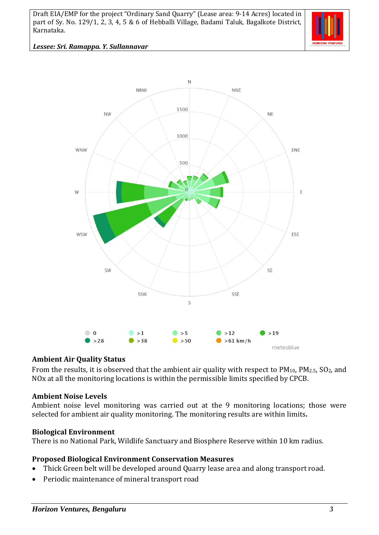

*Lessee: Sri. Ramappa. Y. Sullannavar*



#### **Ambient Air Quality Status**

From the results, it is observed that the ambient air quality with respect to  $PM_{10}$ ,  $PM_{2.5}$ ,  $SO_2$ , and NOx at all the monitoring locations is within the permissible limits specified by CPCB.

#### **Ambient Noise Levels**

Ambient noise level monitoring was carried out at the 9 monitoring locations; those were selected for ambient air quality monitoring. The monitoring results are within limits**.**

#### **Biological Environment**

There is no National Park, Wildlife Sanctuary and Biosphere Reserve within 10 km radius.

#### **Proposed Biological Environment Conservation Measures**

- Thick Green belt will be developed around Quarry lease area and along transport road.
- Periodic maintenance of mineral transport road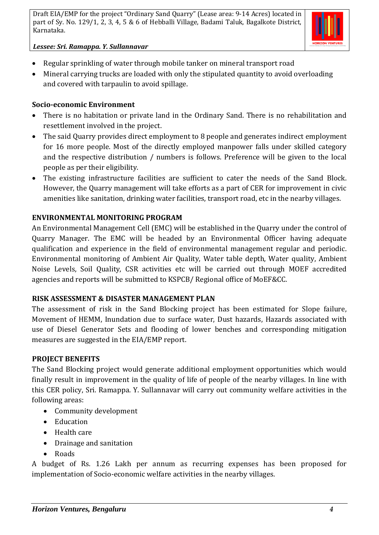

### *Lessee: Sri. Ramappa. Y. Sullannavar*

- Regular sprinkling of water through mobile tanker on mineral transport road
- Mineral carrying trucks are loaded with only the stipulated quantity to avoid overloading and covered with tarpaulin to avoid spillage.

## **Socio-economic Environment**

- There is no habitation or private land in the Ordinary Sand. There is no rehabilitation and resettlement involved in the project.
- The said Quarry provides direct employment to 8 people and generates indirect employment for 16 more people. Most of the directly employed manpower falls under skilled category and the respective distribution / numbers is follows. Preference will be given to the local people as per their eligibility.
- The existing infrastructure facilities are sufficient to cater the needs of the Sand Block. However, the Quarry management will take efforts as a part of CER for improvement in civic amenities like sanitation, drinking water facilities, transport road, etc in the nearby villages.

## **ENVIRONMENTAL MONITORING PROGRAM**

An Environmental Management Cell (EMC) will be established in the Quarry under the control of Quarry Manager. The EMC will be headed by an Environmental Officer having adequate qualification and experience in the field of environmental management regular and periodic. Environmental monitoring of Ambient Air Quality, Water table depth, Water quality, Ambient Noise Levels, Soil Quality, CSR activities etc will be carried out through MOEF accredited agencies and reports will be submitted to KSPCB/ Regional office of MoEF&CC.

### **RISK ASSESSMENT & DISASTER MANAGEMENT PLAN**

The assessment of risk in the Sand Blocking project has been estimated for Slope failure, Movement of HEMM, Inundation due to surface water, Dust hazards, Hazards associated with use of Diesel Generator Sets and flooding of lower benches and corresponding mitigation measures are suggested in the EIA/EMP report.

# **PROJECT BENEFITS**

The Sand Blocking project would generate additional employment opportunities which would finally result in improvement in the quality of life of people of the nearby villages. In line with this CER policy, Sri. Ramappa. Y. Sullannavar will carry out community welfare activities in the following areas:

- Community development
- Education
- Health care
- Drainage and sanitation
- Roads

A budget of Rs. 1.26 Lakh per annum as recurring expenses has been proposed for implementation of Socio-economic welfare activities in the nearby villages.